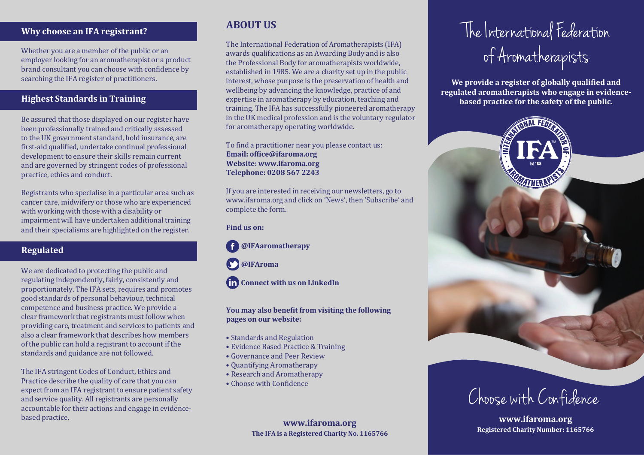### **Why choose an IFA registrant?**

Whether you are a member of the public or an employer looking for an aromatherapist or a product brand consultant you can choose with con�idence by searching the IFA register of practitioners.

#### **Highest Standards in Training**

Be assured that those displayed on our register have been professionally trained and critically assessed to the UK government standard, hold insurance, are first-aid qualified, undertake continual professional development to ensure their skills remain current and are governed by stringent codes of professional practice, ethics and conduct.

Registrants who specialise in a particular area such as cancer care, midwifery or those who are experienced with working with those with a disability or impairment will have undertaken additional training and their specialisms are highlighted on the register.

#### **Regulated**

We are dedicated to protecting the public and regulating independently, fairly, consistently and proportionately. The IFA sets, requires and promotes good standards of personal behaviour, technical competence and business practice. We provide a clear framework that registrants must follow when providing care, treatment and services to patients and also a clear framework that describes how members of the public can hold a registrant to account if the standards and guidance are not followed.

The IFA stringent Codes of Conduct, Ethics and Practice describe the quality of care that you can expect from an IFA registrant to ensure patient safety and service quality. All registrants are personally accountable for their actions and engage in evidencebased practice.

## **ABOUT US**

The International Federation of Aromatherapists (IFA) awards qualifications as an Awarding Body and is also the Professional Body for aromatherapists worldwide, established in 1985. We are a charity set up in the public interest, whose purpose is the preservation of health and wellbeing by advancing the knowledge, practice of and expertise in aromatherapy by education, teaching and training. The IFA has successfully pioneered aromatherapy in the UK medical profession and is the voluntary regulator for aromatherapy operating worldwide.

To find a practitioner near you please contact us: **Email: of�ice@ifaroma.org Website: www.ifaroma.org Telephone: 0208 567 2243**

If you are interested in receiving our newsletters, go to www.ifaroma.org and click on 'News', then 'Subscribe' and complete the form.

**Find us on:**

#### **@IFAaromatherapy**

 **@IFAroma**

**fin** Connect with us on LinkedIn

**You may also bene�it from visiting the following pages on our website:** 

- Standards and Regulation
- Evidence Based Practice & Training
- Governance and Peer Review
- Quantifying Aromatherapy
- Research and Aromatherapy
- Choose with Confidence

**The IFA is a Registered Charity No. 1165766**

# The International Federation of Aromatherapists

We provide a register of globally qualified and **regulated aromatherapists who engage in evidencebased practice for the safety of the public.**



Choose with Confidence

**www.ifaroma.org Registered Charity Number: 1165766**<br>Registered Charity Number: 1165766